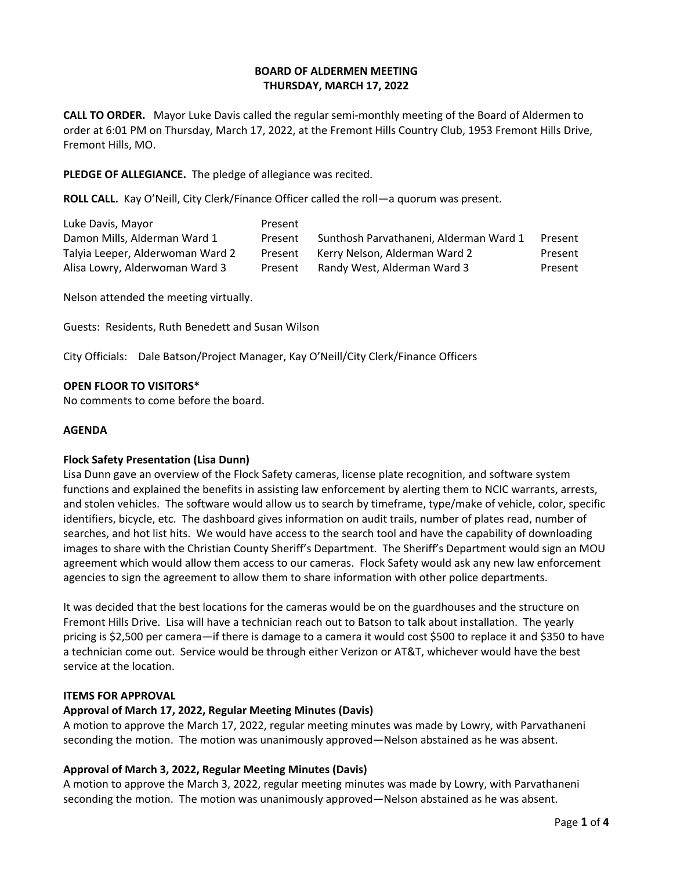# **BOARD OF ALDERMEN MEETING THURSDAY, MARCH 17, 2022**

**CALL TO ORDER.** Mayor Luke Davis called the regular semi-monthly meeting of the Board of Aldermen to order at 6:01 PM on Thursday, March 17, 2022, at the Fremont Hills Country Club, 1953 Fremont Hills Drive, Fremont Hills, MO.

**PLEDGE OF ALLEGIANCE.** The pledge of allegiance was recited.

**ROLL CALL.** Kay O'Neill, City Clerk/Finance Officer called the roll—a quorum was present.

| Luke Davis, Mayor                | Present |                                        |         |
|----------------------------------|---------|----------------------------------------|---------|
| Damon Mills, Alderman Ward 1     | Present | Sunthosh Parvathaneni, Alderman Ward 1 | Present |
| Talyia Leeper, Alderwoman Ward 2 | Present | Kerry Nelson, Alderman Ward 2          | Present |
| Alisa Lowry, Alderwoman Ward 3   | Present | Randy West, Alderman Ward 3            | Present |

Nelson attended the meeting virtually.

Guests: Residents, Ruth Benedett and Susan Wilson

City Officials: Dale Batson/Project Manager, Kay O'Neill/City Clerk/Finance Officers

#### **OPEN FLOOR TO VISITORS\***

No comments to come before the board.

#### **AGENDA**

# **Flock Safety Presentation (Lisa Dunn)**

Lisa Dunn gave an overview of the Flock Safety cameras, license plate recognition, and software system functions and explained the benefits in assisting law enforcement by alerting them to NCIC warrants, arrests, and stolen vehicles. The software would allow us to search by timeframe, type/make of vehicle, color, specific identifiers, bicycle, etc. The dashboard gives information on audit trails, number of plates read, number of searches, and hot list hits. We would have access to the search tool and have the capability of downloading images to share with the Christian County Sheriff's Department. The Sheriff's Department would sign an MOU agreement which would allow them access to our cameras. Flock Safety would ask any new law enforcement agencies to sign the agreement to allow them to share information with other police departments.

It was decided that the best locations for the cameras would be on the guardhouses and the structure on Fremont Hills Drive. Lisa will have a technician reach out to Batson to talk about installation. The yearly pricing is \$2,500 per camera—if there is damage to a camera it would cost \$500 to replace it and \$350 to have a technician come out. Service would be through either Verizon or AT&T, whichever would have the best service at the location.

#### **ITEMS FOR APPROVAL**

# **Approval of March 17, 2022, Regular Meeting Minutes (Davis)**

A motion to approve the March 17, 2022, regular meeting minutes was made by Lowry, with Parvathaneni seconding the motion. The motion was unanimously approved—Nelson abstained as he was absent.

# **Approval of March 3, 2022, Regular Meeting Minutes (Davis)**

A motion to approve the March 3, 2022, regular meeting minutes was made by Lowry, with Parvathaneni seconding the motion. The motion was unanimously approved—Nelson abstained as he was absent.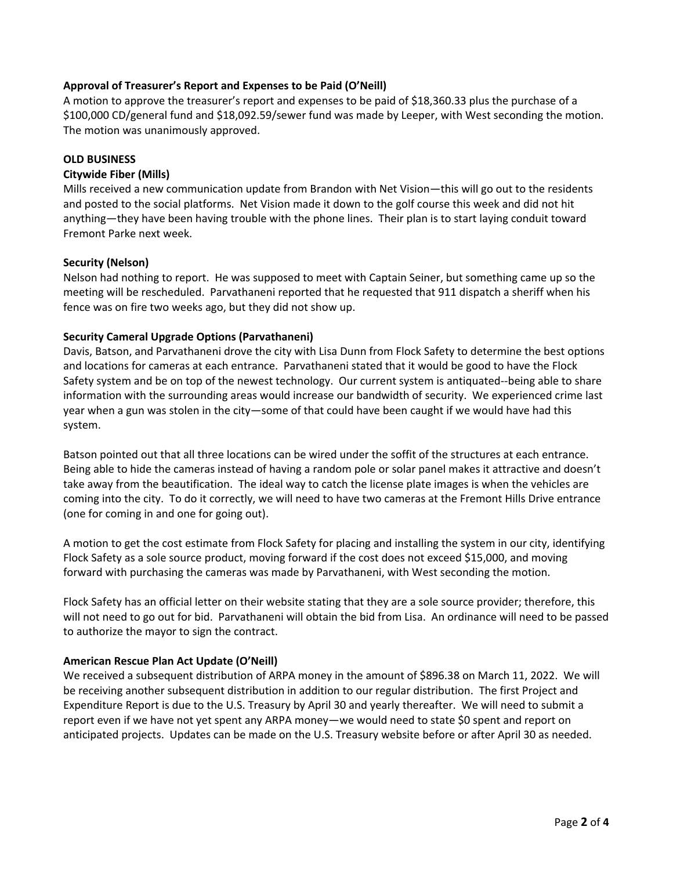# **Approval of Treasurer's Report and Expenses to be Paid (O'Neill)**

A motion to approve the treasurer's report and expenses to be paid of \$18,360.33 plus the purchase of a \$100,000 CD/general fund and \$18,092.59/sewer fund was made by Leeper, with West seconding the motion. The motion was unanimously approved.

#### **OLD BUSINESS**

#### **Citywide Fiber (Mills)**

Mills received a new communication update from Brandon with Net Vision—this will go out to the residents and posted to the social platforms. Net Vision made it down to the golf course this week and did not hit anything—they have been having trouble with the phone lines. Their plan is to start laying conduit toward Fremont Parke next week.

# **Security (Nelson)**

Nelson had nothing to report. He was supposed to meet with Captain Seiner, but something came up so the meeting will be rescheduled. Parvathaneni reported that he requested that 911 dispatch a sheriff when his fence was on fire two weeks ago, but they did not show up.

#### **Security Cameral Upgrade Options (Parvathaneni)**

Davis, Batson, and Parvathaneni drove the city with Lisa Dunn from Flock Safety to determine the best options and locations for cameras at each entrance. Parvathaneni stated that it would be good to have the Flock Safety system and be on top of the newest technology. Our current system is antiquated--being able to share information with the surrounding areas would increase our bandwidth of security. We experienced crime last year when a gun was stolen in the city—some of that could have been caught if we would have had this system.

Batson pointed out that all three locations can be wired under the soffit of the structures at each entrance. Being able to hide the cameras instead of having a random pole or solar panel makes it attractive and doesn't take away from the beautification. The ideal way to catch the license plate images is when the vehicles are coming into the city. To do it correctly, we will need to have two cameras at the Fremont Hills Drive entrance (one for coming in and one for going out).

A motion to get the cost estimate from Flock Safety for placing and installing the system in our city, identifying Flock Safety as a sole source product, moving forward if the cost does not exceed \$15,000, and moving forward with purchasing the cameras was made by Parvathaneni, with West seconding the motion.

Flock Safety has an official letter on their website stating that they are a sole source provider; therefore, this will not need to go out for bid. Parvathaneni will obtain the bid from Lisa. An ordinance will need to be passed to authorize the mayor to sign the contract.

# **American Rescue Plan Act Update (O'Neill)**

We received a subsequent distribution of ARPA money in the amount of \$896.38 on March 11, 2022. We will be receiving another subsequent distribution in addition to our regular distribution. The first Project and Expenditure Report is due to the U.S. Treasury by April 30 and yearly thereafter. We will need to submit a report even if we have not yet spent any ARPA money—we would need to state \$0 spent and report on anticipated projects. Updates can be made on the U.S. Treasury website before or after April 30 as needed.